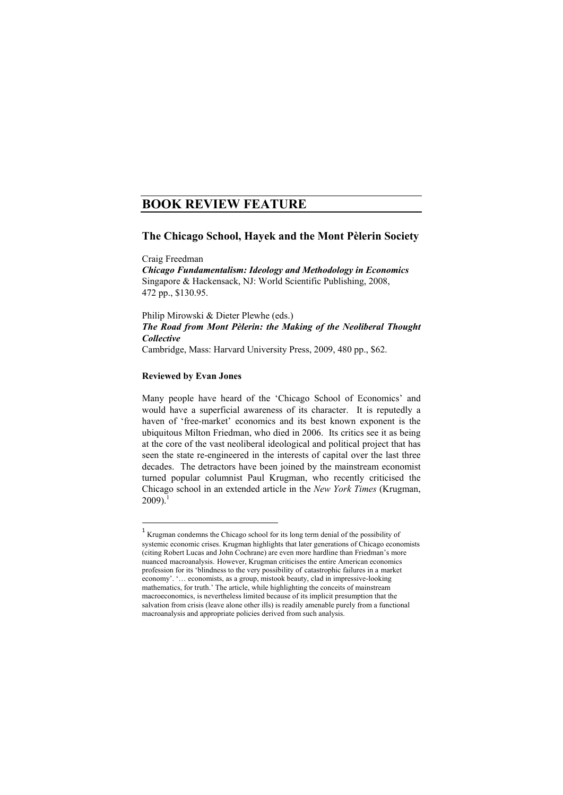## **BOOK REVIEW FEATURE**

## **The Chicago School, Hayek and the Mont Pèlerin Society**

Craig Freedman *Chicago Fundamentalism: Ideology and Methodology in Economics*  Singapore & Hackensack, NJ: World Scientific Publishing, 2008, 472 pp., \$130.95.

Philip Mirowski & Dieter Plewhe (eds.) *The Road from Mont Pèlerin: the Making of the Neoliberal Thought Collective*  Cambridge, Mass: Harvard University Press, 2009, 480 pp., \$62.

## **Reviewed by Evan Jones**

 $\overline{a}$ 

Many people have heard of the 'Chicago School of Economics' and would have a superficial awareness of its character. It is reputedly a haven of 'free-market' economics and its best known exponent is the ubiquitous Milton Friedman, who died in 2006. Its critics see it as being at the core of the vast neoliberal ideological and political project that has seen the state re-engineered in the interests of capital over the last three decades. The detractors have been joined by the mainstream economist turned popular columnist Paul Krugman, who recently criticised the Chicago school in an extended article in the *New York Times* (Krugman,  $2009$ )<sup>1</sup>

<sup>&</sup>lt;sup>1</sup> Krugman condemns the Chicago school for its long term denial of the possibility of systemic economic crises. Krugman highlights that later generations of Chicago economists (citing Robert Lucas and John Cochrane) are even more hardline than Friedman's more nuanced macroanalysis. However, Krugman criticises the entire American economics profession for its 'blindness to the very possibility of catastrophic failures in a market economy'. '… economists, as a group, mistook beauty, clad in impressive-looking mathematics, for truth.' The article, while highlighting the conceits of mainstream macroeconomics, is nevertheless limited because of its implicit presumption that the salvation from crisis (leave alone other ills) is readily amenable purely from a functional macroanalysis and appropriate policies derived from such analysis.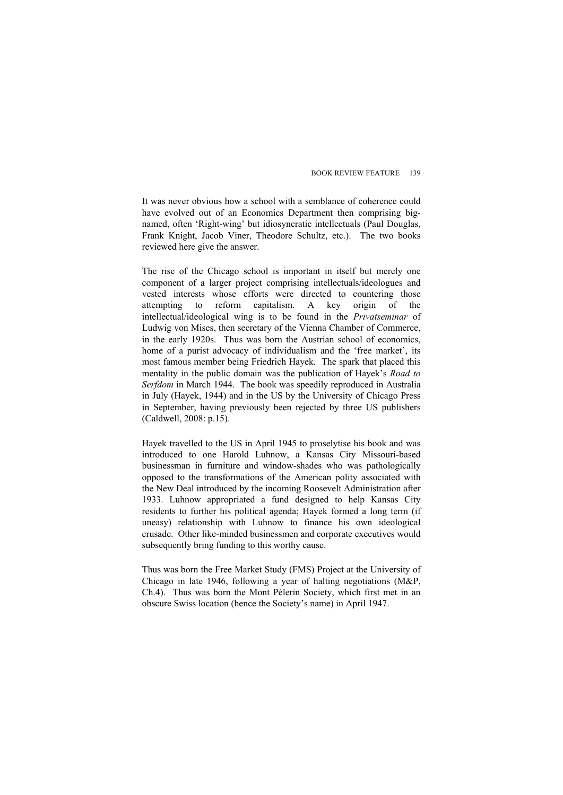It was never obvious how a school with a semblance of coherence could have evolved out of an Economics Department then comprising bignamed, often 'Right-wing' but idiosyncratic intellectuals (Paul Douglas, Frank Knight, Jacob Viner, Theodore Schultz, etc.). The two books reviewed here give the answer.

The rise of the Chicago school is important in itself but merely one component of a larger project comprising intellectuals/ideologues and vested interests whose efforts were directed to countering those attempting to reform capitalism. A key origin of the intellectual/ideological wing is to be found in the *Privatseminar* of Ludwig von Mises, then secretary of the Vienna Chamber of Commerce, in the early 1920s. Thus was born the Austrian school of economics, home of a purist advocacy of individualism and the 'free market', its most famous member being Friedrich Hayek. The spark that placed this mentality in the public domain was the publication of Hayek's *Road to Serfdom* in March 1944. The book was speedily reproduced in Australia in July (Hayek, 1944) and in the US by the University of Chicago Press in September, having previously been rejected by three US publishers (Caldwell, 2008: p.15).

Hayek travelled to the US in April 1945 to proselytise his book and was introduced to one Harold Luhnow, a Kansas City Missouri-based businessman in furniture and window-shades who was pathologically opposed to the transformations of the American polity associated with the New Deal introduced by the incoming Roosevelt Administration after 1933. Luhnow appropriated a fund designed to help Kansas City residents to further his political agenda; Hayek formed a long term (if uneasy) relationship with Luhnow to finance his own ideological crusade. Other like-minded businessmen and corporate executives would subsequently bring funding to this worthy cause.

Thus was born the Free Market Study (FMS) Project at the University of Chicago in late 1946, following a year of halting negotiations (M&P, Ch.4). Thus was born the Mont Pèlerin Society, which first met in an obscure Swiss location (hence the Society's name) in April 1947.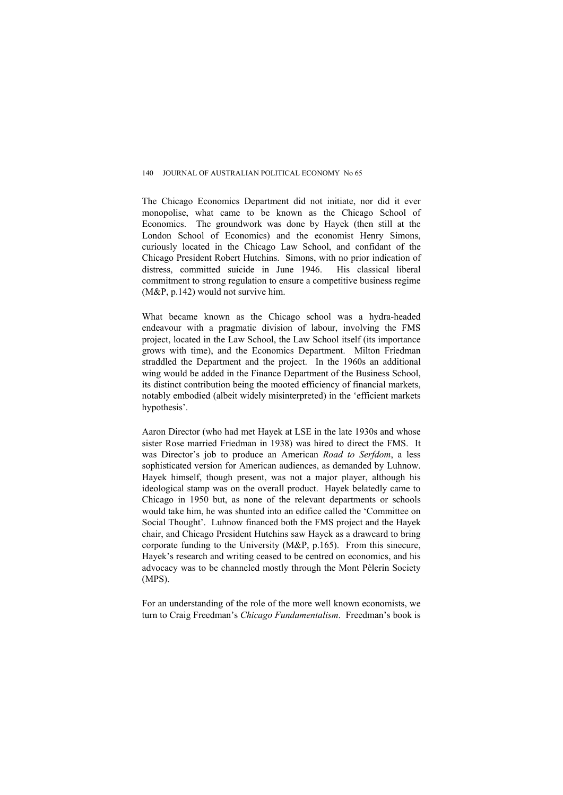The Chicago Economics Department did not initiate, nor did it ever monopolise, what came to be known as the Chicago School of Economics. The groundwork was done by Hayek (then still at the London School of Economics) and the economist Henry Simons, curiously located in the Chicago Law School, and confidant of the Chicago President Robert Hutchins. Simons, with no prior indication of distress, committed suicide in June 1946. His classical liberal commitment to strong regulation to ensure a competitive business regime (M&P, p.142) would not survive him.

What became known as the Chicago school was a hydra-headed endeavour with a pragmatic division of labour, involving the FMS project, located in the Law School, the Law School itself (its importance grows with time), and the Economics Department. Milton Friedman straddled the Department and the project. In the 1960s an additional wing would be added in the Finance Department of the Business School, its distinct contribution being the mooted efficiency of financial markets, notably embodied (albeit widely misinterpreted) in the 'efficient markets hypothesis'.

Aaron Director (who had met Hayek at LSE in the late 1930s and whose sister Rose married Friedman in 1938) was hired to direct the FMS. It was Director's job to produce an American *Road to Serfdom*, a less sophisticated version for American audiences, as demanded by Luhnow. Hayek himself, though present, was not a major player, although his ideological stamp was on the overall product. Hayek belatedly came to Chicago in 1950 but, as none of the relevant departments or schools would take him, he was shunted into an edifice called the 'Committee on Social Thought'. Luhnow financed both the FMS project and the Hayek chair, and Chicago President Hutchins saw Hayek as a drawcard to bring corporate funding to the University (M&P, p.165). From this sinecure, Hayek's research and writing ceased to be centred on economics, and his advocacy was to be channeled mostly through the Mont Pèlerin Society (MPS).

For an understanding of the role of the more well known economists, we turn to Craig Freedman's *Chicago Fundamentalism*. Freedman's book is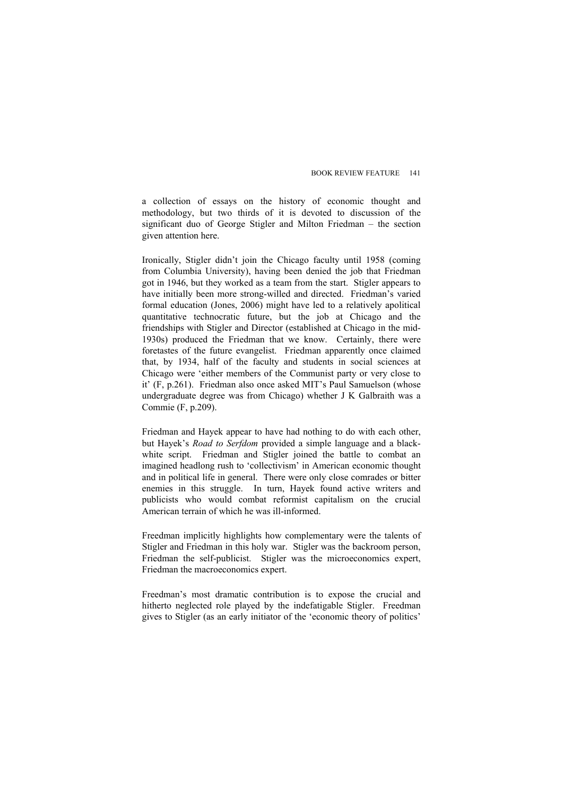a collection of essays on the history of economic thought and methodology, but two thirds of it is devoted to discussion of the significant duo of George Stigler and Milton Friedman – the section given attention here.

Ironically, Stigler didn't join the Chicago faculty until 1958 (coming from Columbia University), having been denied the job that Friedman got in 1946, but they worked as a team from the start. Stigler appears to have initially been more strong-willed and directed. Friedman's varied formal education (Jones, 2006) might have led to a relatively apolitical quantitative technocratic future, but the job at Chicago and the friendships with Stigler and Director (established at Chicago in the mid-1930s) produced the Friedman that we know. Certainly, there were foretastes of the future evangelist. Friedman apparently once claimed that, by 1934, half of the faculty and students in social sciences at Chicago were 'either members of the Communist party or very close to it' (F, p.261). Friedman also once asked MIT's Paul Samuelson (whose undergraduate degree was from Chicago) whether J K Galbraith was a Commie (F, p.209).

Friedman and Hayek appear to have had nothing to do with each other, but Hayek's *Road to Serfdom* provided a simple language and a blackwhite script. Friedman and Stigler joined the battle to combat an imagined headlong rush to 'collectivism' in American economic thought and in political life in general. There were only close comrades or bitter enemies in this struggle. In turn, Hayek found active writers and publicists who would combat reformist capitalism on the crucial American terrain of which he was ill-informed.

Freedman implicitly highlights how complementary were the talents of Stigler and Friedman in this holy war. Stigler was the backroom person, Friedman the self-publicist. Stigler was the microeconomics expert, Friedman the macroeconomics expert.

Freedman's most dramatic contribution is to expose the crucial and hitherto neglected role played by the indefatigable Stigler. Freedman gives to Stigler (as an early initiator of the 'economic theory of politics'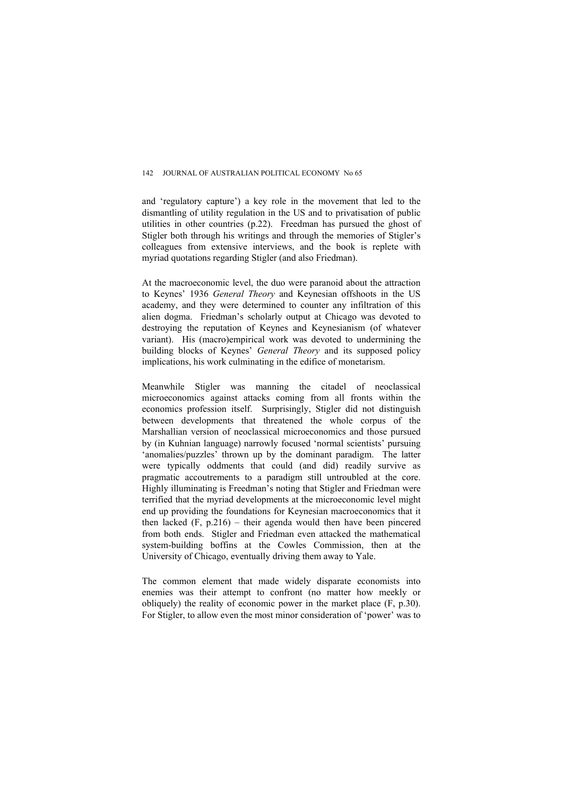and 'regulatory capture') a key role in the movement that led to the dismantling of utility regulation in the US and to privatisation of public utilities in other countries (p.22). Freedman has pursued the ghost of Stigler both through his writings and through the memories of Stigler's colleagues from extensive interviews, and the book is replete with myriad quotations regarding Stigler (and also Friedman).

At the macroeconomic level, the duo were paranoid about the attraction to Keynes' 1936 *General Theory* and Keynesian offshoots in the US academy, and they were determined to counter any infiltration of this alien dogma. Friedman's scholarly output at Chicago was devoted to destroying the reputation of Keynes and Keynesianism (of whatever variant). His (macro)empirical work was devoted to undermining the building blocks of Keynes' *General Theory* and its supposed policy implications, his work culminating in the edifice of monetarism.

Meanwhile Stigler was manning the citadel of neoclassical microeconomics against attacks coming from all fronts within the economics profession itself. Surprisingly, Stigler did not distinguish between developments that threatened the whole corpus of the Marshallian version of neoclassical microeconomics and those pursued by (in Kuhnian language) narrowly focused 'normal scientists' pursuing 'anomalies/puzzles' thrown up by the dominant paradigm. The latter were typically oddments that could (and did) readily survive as pragmatic accoutrements to a paradigm still untroubled at the core. Highly illuminating is Freedman's noting that Stigler and Friedman were terrified that the myriad developments at the microeconomic level might end up providing the foundations for Keynesian macroeconomics that it then lacked (F, p.216) – their agenda would then have been pincered from both ends. Stigler and Friedman even attacked the mathematical system-building boffins at the Cowles Commission, then at the University of Chicago, eventually driving them away to Yale.

The common element that made widely disparate economists into enemies was their attempt to confront (no matter how meekly or obliquely) the reality of economic power in the market place (F, p.30). For Stigler, to allow even the most minor consideration of 'power' was to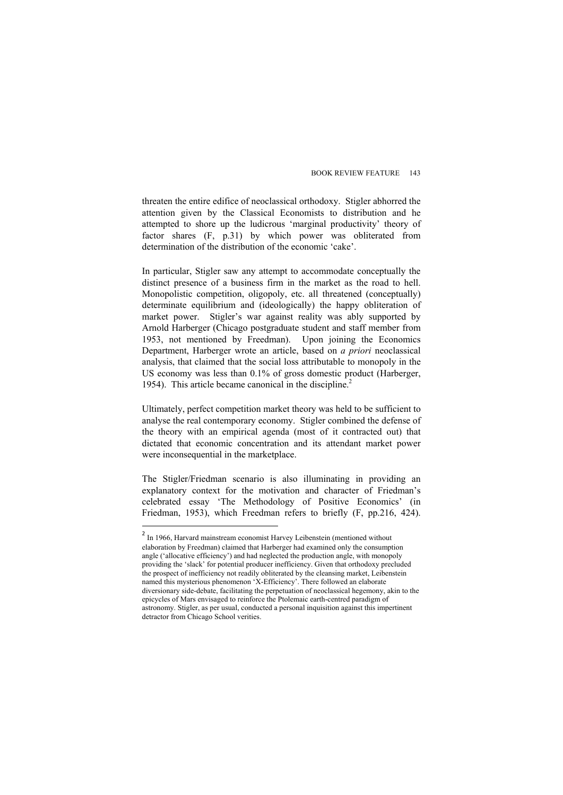threaten the entire edifice of neoclassical orthodoxy. Stigler abhorred the attention given by the Classical Economists to distribution and he attempted to shore up the ludicrous 'marginal productivity' theory of factor shares (F, p.31) by which power was obliterated from determination of the distribution of the economic 'cake'.

In particular, Stigler saw any attempt to accommodate conceptually the distinct presence of a business firm in the market as the road to hell. Monopolistic competition, oligopoly, etc. all threatened (conceptually) determinate equilibrium and (ideologically) the happy obliteration of market power. Stigler's war against reality was ably supported by Arnold Harberger (Chicago postgraduate student and staff member from 1953, not mentioned by Freedman). Upon joining the Economics Department, Harberger wrote an article, based on *a priori* neoclassical analysis, that claimed that the social loss attributable to monopoly in the US economy was less than 0.1% of gross domestic product (Harberger, 1954). This article became canonical in the discipline.<sup>2</sup>

Ultimately, perfect competition market theory was held to be sufficient to analyse the real contemporary economy. Stigler combined the defense of the theory with an empirical agenda (most of it contracted out) that dictated that economic concentration and its attendant market power were inconsequential in the marketplace.

The Stigler/Friedman scenario is also illuminating in providing an explanatory context for the motivation and character of Friedman's celebrated essay 'The Methodology of Positive Economics' (in Friedman, 1953), which Freedman refers to briefly (F, pp.216, 424).

<sup>&</sup>lt;sup>2</sup> In 1966, Harvard mainstream economist Harvey Leibenstein (mentioned without elaboration by Freedman) claimed that Harberger had examined only the consumption angle ('allocative efficiency') and had neglected the production angle, with monopoly providing the 'slack' for potential producer inefficiency. Given that orthodoxy precluded the prospect of inefficiency not readily obliterated by the cleansing market, Leibenstein named this mysterious phenomenon 'X-Efficiency'. There followed an elaborate diversionary side-debate, facilitating the perpetuation of neoclassical hegemony, akin to the epicycles of Mars envisaged to reinforce the Ptolemaic earth-centred paradigm of astronomy. Stigler, as per usual, conducted a personal inquisition against this impertinent detractor from Chicago School verities.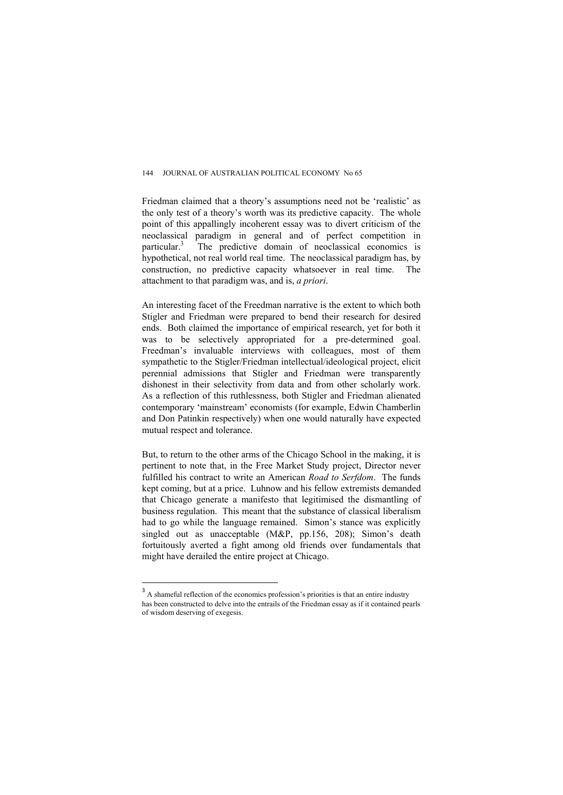Friedman claimed that a theory's assumptions need not be 'realistic' as the only test of a theory's worth was its predictive capacity. The whole point of this appallingly incoherent essay was to divert criticism of the neoclassical paradigm in general and of perfect competition in  $particular<sup>3</sup>$  The predictive domain of neoclassical economics is hypothetical, not real world real time. The neoclassical paradigm has, by construction, no predictive capacity whatsoever in real time. The attachment to that paradigm was, and is, *a priori*.

An interesting facet of the Freedman narrative is the extent to which both Stigler and Friedman were prepared to bend their research for desired ends. Both claimed the importance of empirical research, yet for both it was to be selectively appropriated for a pre-determined goal. Freedman's invaluable interviews with colleagues, most of them sympathetic to the Stigler/Friedman intellectual/ideological project, elicit perennial admissions that Stigler and Friedman were transparently dishonest in their selectivity from data and from other scholarly work. As a reflection of this ruthlessness, both Stigler and Friedman alienated contemporary 'mainstream' economists (for example, Edwin Chamberlin and Don Patinkin respectively) when one would naturally have expected mutual respect and tolerance.

But, to return to the other arms of the Chicago School in the making, it is pertinent to note that, in the Free Market Study project, Director never fulfilled his contract to write an American *Road to Serfdom*. The funds kept coming, but at a price. Luhnow and his fellow extremists demanded that Chicago generate a manifesto that legitimised the dismantling of business regulation. This meant that the substance of classical liberalism had to go while the language remained. Simon's stance was explicitly singled out as unacceptable (M&P, pp.156, 208); Simon's death fortuitously averted a fight among old friends over fundamentals that might have derailed the entire project at Chicago.

<sup>&</sup>lt;sup>3</sup> A shameful reflection of the economics profession's priorities is that an entire industry has been constructed to delve into the entrails of the Friedman essay as if it contained pearls of wisdom deserving of exegesis.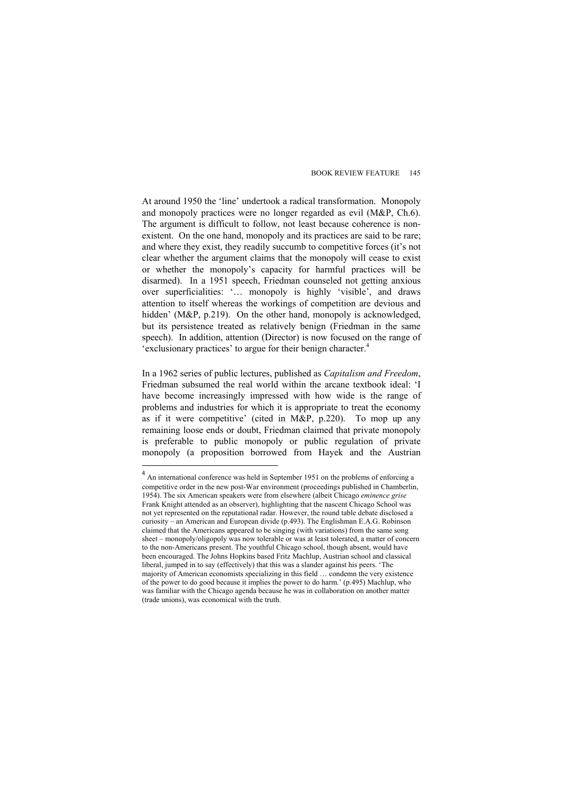At around 1950 the 'line' undertook a radical transformation. Monopoly and monopoly practices were no longer regarded as evil  $(M\&P, Ch, 6)$ . The argument is difficult to follow, not least because coherence is nonexistent. On the one hand, monopoly and its practices are said to be rare; and where they exist, they readily succumb to competitive forces (it's not clear whether the argument claims that the monopoly will cease to exist or whether the monopoly's capacity for harmful practices will be disarmed). In a 1951 speech, Friedman counseled not getting anxious over superficialities: '… monopoly is highly 'visible', and draws attention to itself whereas the workings of competition are devious and hidden' (M&P, p.219). On the other hand, monopoly is acknowledged, but its persistence treated as relatively benign (Friedman in the same speech). In addition, attention (Director) is now focused on the range of 'exclusionary practices' to argue for their benign character.<sup>4</sup>

In a 1962 series of public lectures, published as *Capitalism and Freedom*, Friedman subsumed the real world within the arcane textbook ideal: 'I have become increasingly impressed with how wide is the range of problems and industries for which it is appropriate to treat the economy as if it were competitive' (cited in M&P, p.220). To mop up any remaining loose ends or doubt, Friedman claimed that private monopoly is preferable to public monopoly or public regulation of private monopoly (a proposition borrowed from Hayek and the Austrian

 $4$  An international conference was held in September 1951 on the problems of enforcing a competitive order in the new post-War environment (proceedings published in Chamberlin, 1954). The six American speakers were from elsewhere (albeit Chicago *eminence grise* Frank Knight attended as an observer), highlighting that the nascent Chicago School was not yet represented on the reputational radar. However, the round table debate disclosed a curiosity – an American and European divide (p.493). The Englishman E.A.G. Robinson claimed that the Americans appeared to be singing (with variations) from the same song sheet – monopoly/oligopoly was now tolerable or was at least tolerated, a matter of concern to the non-Americans present. The youthful Chicago school, though absent, would have been encouraged. The Johns Hopkins based Fritz Machlup, Austrian school and classical liberal, jumped in to say (effectively) that this was a slander against his peers. 'The majority of American economists specializing in this field … condemn the very existence of the power to do good because it implies the power to do harm.' (p.495) Machlup, who was familiar with the Chicago agenda because he was in collaboration on another matter (trade unions), was economical with the truth.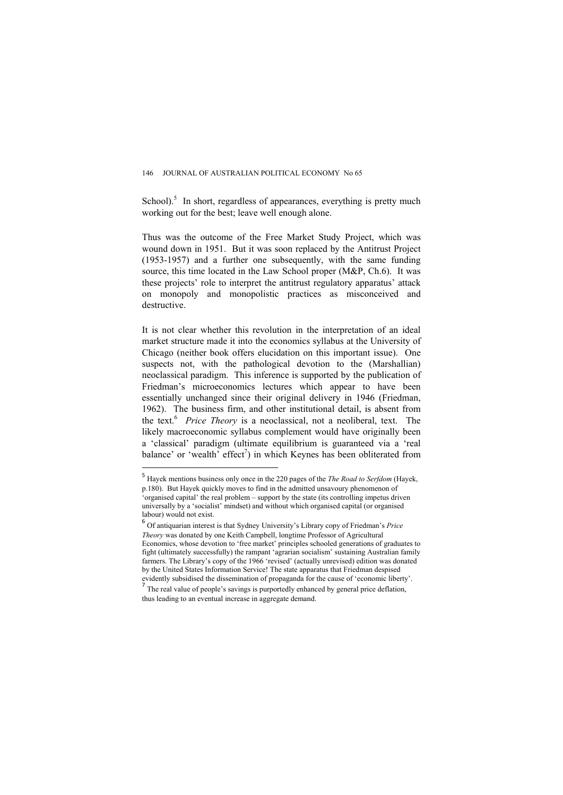School). $5$  In short, regardless of appearances, everything is pretty much working out for the best; leave well enough alone.

Thus was the outcome of the Free Market Study Project, which was wound down in 1951. But it was soon replaced by the Antitrust Project (1953-1957) and a further one subsequently, with the same funding source, this time located in the Law School proper (M&P, Ch.6). It was these projects' role to interpret the antitrust regulatory apparatus' attack on monopoly and monopolistic practices as misconceived and destructive.

It is not clear whether this revolution in the interpretation of an ideal market structure made it into the economics syllabus at the University of Chicago (neither book offers elucidation on this important issue). One suspects not, with the pathological devotion to the (Marshallian) neoclassical paradigm. This inference is supported by the publication of Friedman's microeconomics lectures which appear to have been essentially unchanged since their original delivery in 1946 (Friedman, 1962). The business firm, and other institutional detail, is absent from the text.6 *Price Theory* is a neoclassical, not a neoliberal, text. The likely macroeconomic syllabus complement would have originally been a 'classical' paradigm (ultimate equilibrium is guaranteed via a 'real balance' or 'wealth' effect<sup>7</sup>) in which Keynes has been obliterated from

<sup>5</sup> Hayek mentions business only once in the 220 pages of the *The Road to Serfdom* (Hayek, p.180). But Hayek quickly moves to find in the admitted unsavoury phenomenon of

<sup>&#</sup>x27;organised capital' the real problem – support by the state (its controlling impetus driven universally by a 'socialist' mindset) and without which organised capital (or organised labour) would not exist.

<sup>6</sup> Of antiquarian interest is that Sydney University's Library copy of Friedman's *Price Theory* was donated by one Keith Campbell, longtime Professor of Agricultural Economics, whose devotion to 'free market' principles schooled generations of graduates to fight (ultimately successfully) the rampant 'agrarian socialism' sustaining Australian family farmers. The Library's copy of the 1966 'revised' (actually unrevised) edition was donated by the United States Information Service! The state apparatus that Friedman despised evidently subsidised the dissemination of propaganda for the cause of 'economic liberty'.

 $<sup>7</sup>$  The real value of people's savings is purportedly enhanced by general price deflation,</sup> thus leading to an eventual increase in aggregate demand.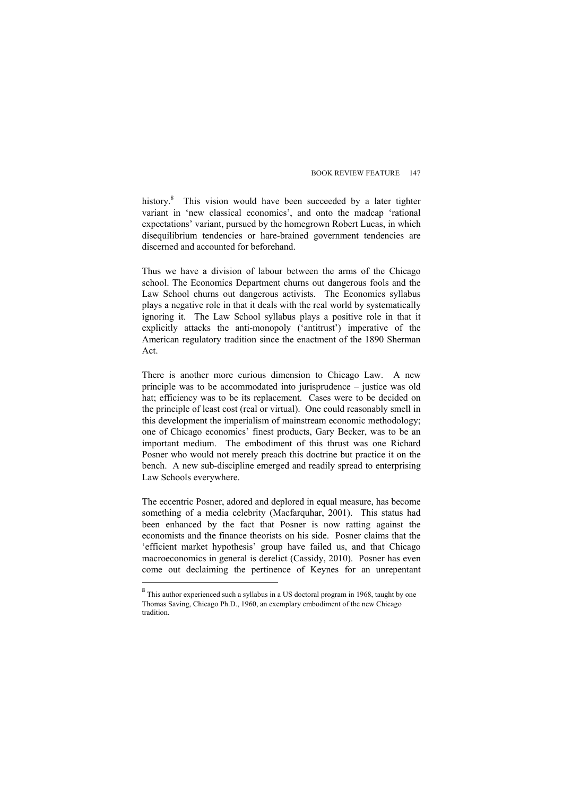history.<sup>8</sup> This vision would have been succeeded by a later tighter variant in 'new classical economics' and onto the madcap 'rational expectations' variant, pursued by the homegrown Robert Lucas, in which disequilibrium tendencies or hare-brained government tendencies are discerned and accounted for beforehand.

Thus we have a division of labour between the arms of the Chicago school. The Economics Department churns out dangerous fools and the Law School churns out dangerous activists. The Economics syllabus plays a negative role in that it deals with the real world by systematically ignoring it. The Law School syllabus plays a positive role in that it explicitly attacks the anti-monopoly ('antitrust') imperative of the American regulatory tradition since the enactment of the 1890 Sherman Act.

There is another more curious dimension to Chicago Law. A new principle was to be accommodated into jurisprudence – justice was old hat; efficiency was to be its replacement. Cases were to be decided on the principle of least cost (real or virtual). One could reasonably smell in this development the imperialism of mainstream economic methodology; one of Chicago economics' finest products, Gary Becker, was to be an important medium. The embodiment of this thrust was one Richard Posner who would not merely preach this doctrine but practice it on the bench. A new sub-discipline emerged and readily spread to enterprising Law Schools everywhere.

The eccentric Posner, adored and deplored in equal measure, has become something of a media celebrity (Macfarquhar, 2001). This status had been enhanced by the fact that Posner is now ratting against the economists and the finance theorists on his side. Posner claims that the 'efficient market hypothesis' group have failed us, and that Chicago macroeconomics in general is derelict (Cassidy, 2010). Posner has even come out declaiming the pertinence of Keynes for an unrepentant

<sup>&</sup>lt;sup>8</sup> This author experienced such a syllabus in a US doctoral program in 1968, taught by one Thomas Saving, Chicago Ph.D., 1960, an exemplary embodiment of the new Chicago tradition.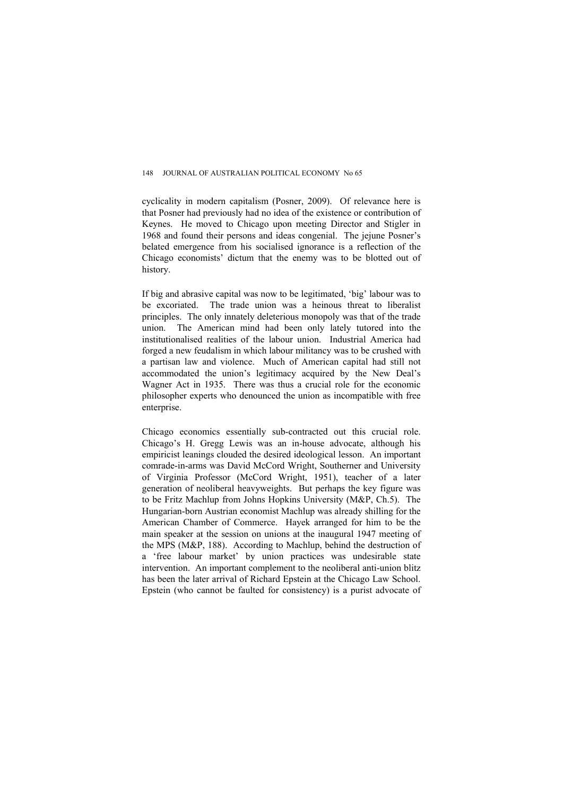cyclicality in modern capitalism (Posner, 2009). Of relevance here is that Posner had previously had no idea of the existence or contribution of Keynes. He moved to Chicago upon meeting Director and Stigler in 1968 and found their persons and ideas congenial. The jejune Posner's belated emergence from his socialised ignorance is a reflection of the Chicago economists' dictum that the enemy was to be blotted out of history.

If big and abrasive capital was now to be legitimated, 'big' labour was to be excoriated. The trade union was a heinous threat to liberalist principles. The only innately deleterious monopoly was that of the trade union. The American mind had been only lately tutored into the institutionalised realities of the labour union. Industrial America had forged a new feudalism in which labour militancy was to be crushed with a partisan law and violence. Much of American capital had still not accommodated the union's legitimacy acquired by the New Deal's Wagner Act in 1935. There was thus a crucial role for the economic philosopher experts who denounced the union as incompatible with free enterprise.

Chicago economics essentially sub-contracted out this crucial role. Chicago's H. Gregg Lewis was an in-house advocate, although his empiricist leanings clouded the desired ideological lesson. An important comrade-in-arms was David McCord Wright, Southerner and University of Virginia Professor (McCord Wright, 1951), teacher of a later generation of neoliberal heavyweights. But perhaps the key figure was to be Fritz Machlup from Johns Hopkins University (M&P, Ch.5). The Hungarian-born Austrian economist Machlup was already shilling for the American Chamber of Commerce. Hayek arranged for him to be the main speaker at the session on unions at the inaugural 1947 meeting of the MPS (M&P, 188). According to Machlup, behind the destruction of a 'free labour market' by union practices was undesirable state intervention. An important complement to the neoliberal anti-union blitz has been the later arrival of Richard Epstein at the Chicago Law School. Epstein (who cannot be faulted for consistency) is a purist advocate of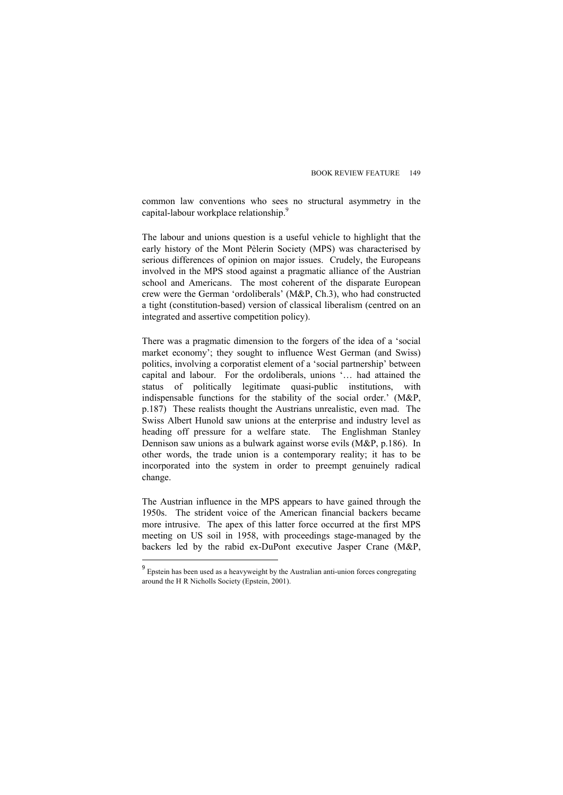common law conventions who sees no structural asymmetry in the capital-labour workplace relationship.<sup>9</sup>

The labour and unions question is a useful vehicle to highlight that the early history of the Mont Pèlerin Society (MPS) was characterised by serious differences of opinion on major issues. Crudely, the Europeans involved in the MPS stood against a pragmatic alliance of the Austrian school and Americans. The most coherent of the disparate European crew were the German 'ordoliberals' (M&P, Ch.3), who had constructed a tight (constitution-based) version of classical liberalism (centred on an integrated and assertive competition policy).

There was a pragmatic dimension to the forgers of the idea of a 'social market economy'; they sought to influence West German (and Swiss) politics, involving a corporatist element of a 'social partnership' between capital and labour. For the ordoliberals, unions '… had attained the status of politically legitimate quasi-public institutions, with indispensable functions for the stability of the social order.' (M&P, p.187) These realists thought the Austrians unrealistic, even mad. The Swiss Albert Hunold saw unions at the enterprise and industry level as heading off pressure for a welfare state. The Englishman Stanley Dennison saw unions as a bulwark against worse evils (M&P, p.186). In other words, the trade union is a contemporary reality; it has to be incorporated into the system in order to preempt genuinely radical change.

The Austrian influence in the MPS appears to have gained through the 1950s. The strident voice of the American financial backers became more intrusive. The apex of this latter force occurred at the first MPS meeting on US soil in 1958, with proceedings stage-managed by the backers led by the rabid ex-DuPont executive Jasper Crane (M&P,

<sup>9</sup> Epstein has been used as a heavyweight by the Australian anti-union forces congregating around the H R Nicholls Society (Epstein, 2001).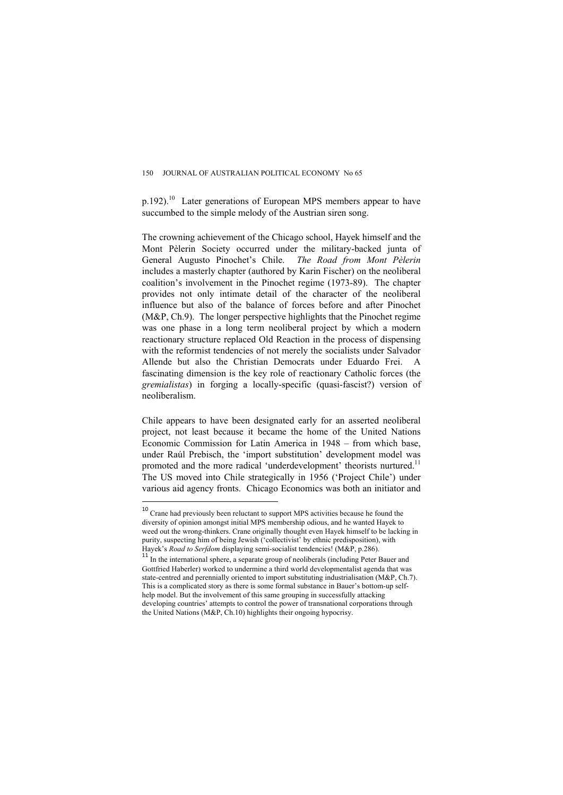p.192).10 Later generations of European MPS members appear to have succumbed to the simple melody of the Austrian siren song.

The crowning achievement of the Chicago school, Hayek himself and the Mont Pèlerin Society occurred under the military-backed junta of General Augusto Pinochet's Chile. *The Road from Mont Pèlerin* includes a masterly chapter (authored by Karin Fischer) on the neoliberal coalition's involvement in the Pinochet regime (1973-89). The chapter provides not only intimate detail of the character of the neoliberal influence but also of the balance of forces before and after Pinochet (M&P, Ch.9). The longer perspective highlights that the Pinochet regime was one phase in a long term neoliberal project by which a modern reactionary structure replaced Old Reaction in the process of dispensing with the reformist tendencies of not merely the socialists under Salvador Allende but also the Christian Democrats under Eduardo Frei. A fascinating dimension is the key role of reactionary Catholic forces (the *gremialistas*) in forging a locally-specific (quasi-fascist?) version of neoliberalism.

Chile appears to have been designated early for an asserted neoliberal project, not least because it became the home of the United Nations Economic Commission for Latin America in 1948 – from which base, under Raúl Prebisch, the 'import substitution' development model was promoted and the more radical 'underdevelopment' theorists nurtured.<sup>11</sup> The US moved into Chile strategically in 1956 ('Project Chile') under various aid agency fronts. Chicago Economics was both an initiator and

<sup>&</sup>lt;sup>10</sup> Crane had previously been reluctant to support MPS activities because he found the diversity of opinion amongst initial MPS membership odious, and he wanted Hayek to weed out the wrong-thinkers. Crane originally thought even Hayek himself to be lacking in purity, suspecting him of being Jewish ('collectivist' by ethnic predisposition), with Hayek's *Road to Serfdom* displaying semi-socialist tendencies! (M&P, p.286).

<sup>&</sup>lt;sup>11</sup> In the international sphere, a separate group of neoliberals (including Peter Bauer and Gottfried Haberler) worked to undermine a third world developmentalist agenda that was state-centred and perennially oriented to import substituting industrialisation (M&P, Ch.7). This is a complicated story as there is some formal substance in Bauer's bottom-up selfhelp model. But the involvement of this same grouping in successfully attacking developing countries' attempts to control the power of transnational corporations through the United Nations (M&P, Ch.10) highlights their ongoing hypocrisy.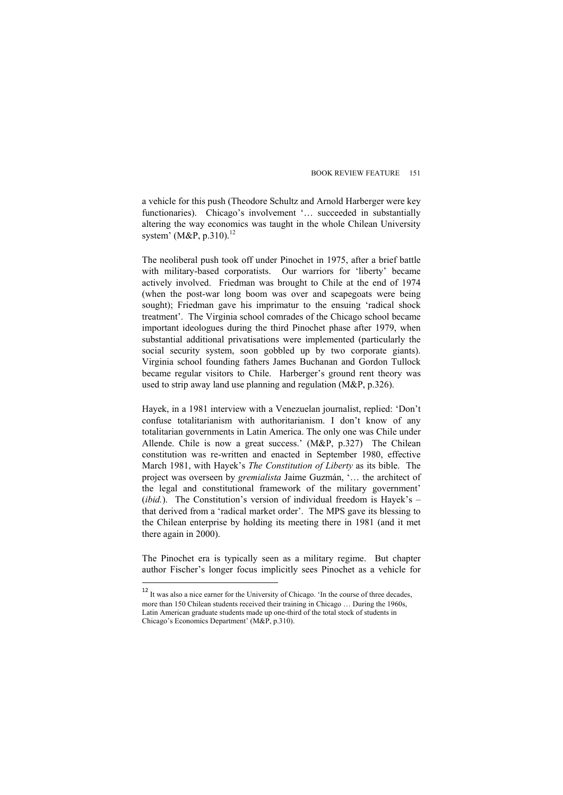a vehicle for this push (Theodore Schultz and Arnold Harberger were key functionaries). Chicago's involvement '... succeeded in substantially altering the way economics was taught in the whole Chilean University system' (M&P, p.310). $^{12}$ 

The neoliberal push took off under Pinochet in 1975, after a brief battle with military-based corporatists. Our warriors for 'liberty' became actively involved. Friedman was brought to Chile at the end of 1974 (when the post-war long boom was over and scapegoats were being sought); Friedman gave his imprimatur to the ensuing 'radical shock treatment'. The Virginia school comrades of the Chicago school became important ideologues during the third Pinochet phase after 1979, when substantial additional privatisations were implemented (particularly the social security system, soon gobbled up by two corporate giants). Virginia school founding fathers James Buchanan and Gordon Tullock became regular visitors to Chile. Harberger's ground rent theory was used to strip away land use planning and regulation (M&P, p.326).

Hayek, in a 1981 interview with a Venezuelan journalist, replied: 'Don't confuse totalitarianism with authoritarianism. I don't know of any totalitarian governments in Latin America. The only one was Chile under Allende. Chile is now a great success.' (M&P, p.327) The Chilean constitution was re-written and enacted in September 1980, effective March 1981, with Hayek's *The Constitution of Liberty* as its bible. The project was overseen by *gremialista* Jaime Guzmán, '… the architect of the legal and constitutional framework of the military government' (*ibid.*). The Constitution's version of individual freedom is Hayek's – that derived from a 'radical market order'. The MPS gave its blessing to the Chilean enterprise by holding its meeting there in 1981 (and it met there again in 2000).

The Pinochet era is typically seen as a military regime. But chapter author Fischer's longer focus implicitly sees Pinochet as a vehicle for

 $12$  It was also a nice earner for the University of Chicago. 'In the course of three decades, more than 150 Chilean students received their training in Chicago … During the 1960s, Latin American graduate students made up one-third of the total stock of students in Chicago's Economics Department' (M&P, p.310).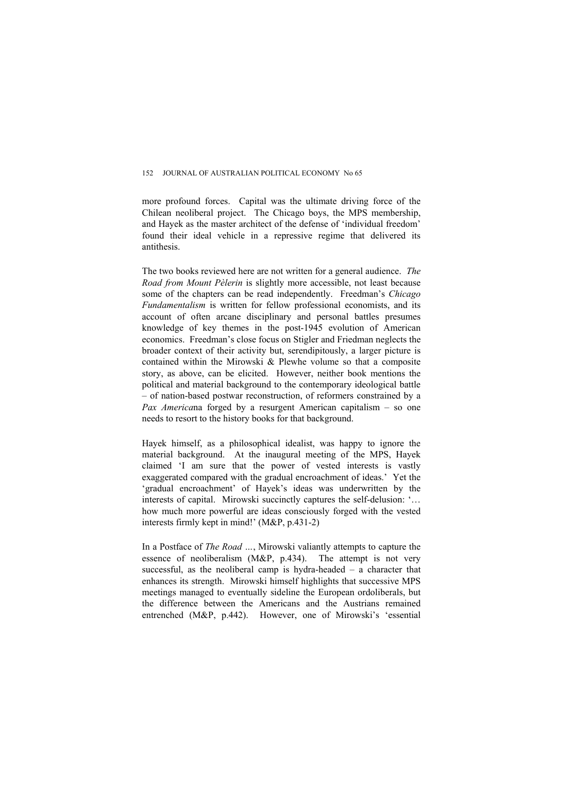more profound forces. Capital was the ultimate driving force of the Chilean neoliberal project. The Chicago boys, the MPS membership, and Hayek as the master architect of the defense of 'individual freedom' found their ideal vehicle in a repressive regime that delivered its antithesis.

The two books reviewed here are not written for a general audience. *The Road from Mount Pèlerin* is slightly more accessible, not least because some of the chapters can be read independently. Freedman's *Chicago Fundamentalism* is written for fellow professional economists, and its account of often arcane disciplinary and personal battles presumes knowledge of key themes in the post-1945 evolution of American economics. Freedman's close focus on Stigler and Friedman neglects the broader context of their activity but, serendipitously, a larger picture is contained within the Mirowski & Plewhe volume so that a composite story, as above, can be elicited. However, neither book mentions the political and material background to the contemporary ideological battle – of nation-based postwar reconstruction, of reformers constrained by a *Pax America*na forged by a resurgent American capitalism – so one needs to resort to the history books for that background.

Hayek himself, as a philosophical idealist, was happy to ignore the material background. At the inaugural meeting of the MPS, Hayek claimed 'I am sure that the power of vested interests is vastly exaggerated compared with the gradual encroachment of ideas.' Yet the 'gradual encroachment' of Hayek's ideas was underwritten by the interests of capital. Mirowski succinctly captures the self-delusion: '… how much more powerful are ideas consciously forged with the vested interests firmly kept in mind!' (M&P, p.431-2)

In a Postface of *The Road …*, Mirowski valiantly attempts to capture the essence of neoliberalism (M&P, p.434). The attempt is not very successful, as the neoliberal camp is hydra-headed – a character that enhances its strength. Mirowski himself highlights that successive MPS meetings managed to eventually sideline the European ordoliberals, but the difference between the Americans and the Austrians remained entrenched (M&P, p.442). However, one of Mirowski's 'essential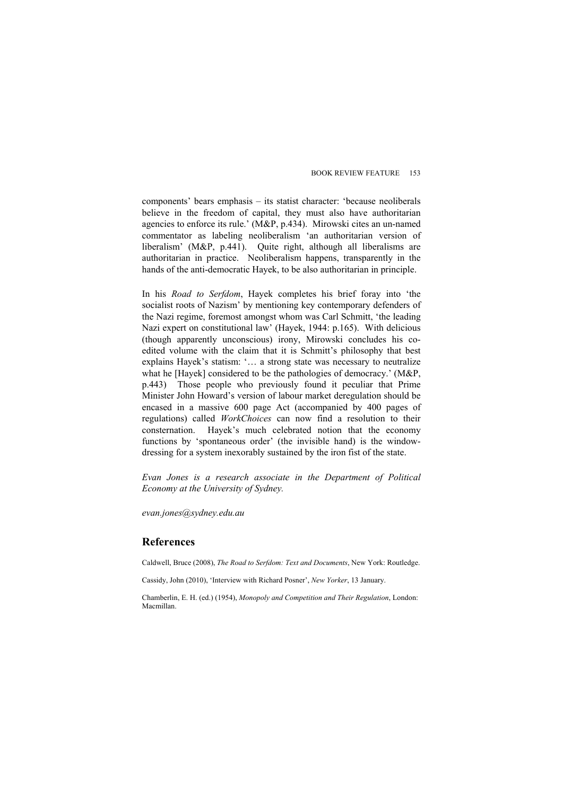components' bears emphasis – its statist character: 'because neoliberals believe in the freedom of capital, they must also have authoritarian agencies to enforce its rule.' (M&P, p.434). Mirowski cites an un-named commentator as labeling neoliberalism 'an authoritarian version of liberalism' (M&P, p.441). Quite right, although all liberalisms are authoritarian in practice. Neoliberalism happens, transparently in the hands of the anti-democratic Hayek, to be also authoritarian in principle.

In his *Road to Serfdom*, Hayek completes his brief foray into 'the socialist roots of Nazism' by mentioning key contemporary defenders of the Nazi regime, foremost amongst whom was Carl Schmitt, 'the leading Nazi expert on constitutional law' (Hayek, 1944: p.165). With delicious (though apparently unconscious) irony, Mirowski concludes his coedited volume with the claim that it is Schmitt's philosophy that best explains Hayek's statism: '… a strong state was necessary to neutralize what he [Hayek] considered to be the pathologies of democracy.' (M&P, p.443) Those people who previously found it peculiar that Prime Minister John Howard's version of labour market deregulation should be encased in a massive 600 page Act (accompanied by 400 pages of regulations) called *WorkChoices* can now find a resolution to their consternation. Hayek's much celebrated notion that the economy functions by 'spontaneous order' (the invisible hand) is the windowdressing for a system inexorably sustained by the iron fist of the state.

*Evan Jones is a research associate in the Department of Political Economy at the University of Sydney.* 

*evan.jones@sydney.edu.au* 

## **References**

Caldwell, Bruce (2008), *The Road to Serfdom: Text and Documents*, New York: Routledge.

Cassidy, John (2010), 'Interview with Richard Posner', *New Yorker*, 13 January.

Chamberlin, E. H. (ed.) (1954), *Monopoly and Competition and Their Regulation*, London: Macmillan.